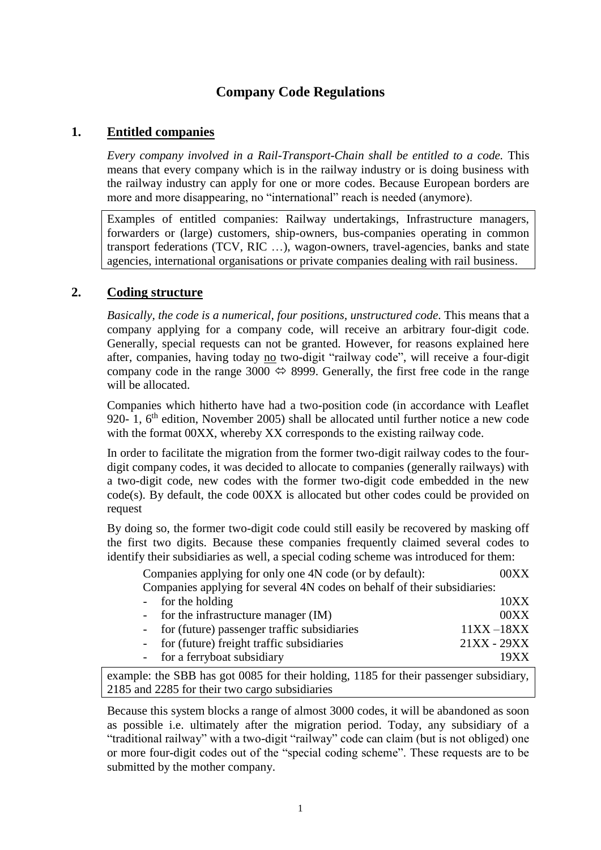# **Company Code Regulations**

### **1. Entitled companies**

*Every company involved in a Rail-Transport-Chain shall be entitled to a code.* This means that every company which is in the railway industry or is doing business with the railway industry can apply for one or more codes. Because European borders are more and more disappearing, no "international" reach is needed (anymore).

Examples of entitled companies: Railway undertakings, Infrastructure managers, forwarders or (large) customers, ship-owners, bus-companies operating in common transport federations (TCV, RIC …), wagon-owners, travel-agencies, banks and state agencies, international organisations or private companies dealing with rail business.

# **2. Coding structure**

*Basically, the code is a numerical, four positions, unstructured code*. This means that a company applying for a company code, will receive an arbitrary four-digit code. Generally, special requests can not be granted. However, for reasons explained here after, companies, having today no two-digit "railway code", will receive a four-digit company code in the range 3000  $\Leftrightarrow$  8999. Generally, the first free code in the range will be allocated.

Companies which hitherto have had a two-position code (in accordance with Leaflet 920- 1, 6<sup>th</sup> edition, November 2005) shall be allocated until further notice a new code with the format  $00XX$ , whereby XX corresponds to the existing railway code.

In order to facilitate the migration from the former two-digit railway codes to the fourdigit company codes, it was decided to allocate to companies (generally railways) with a two-digit code, new codes with the former two-digit code embedded in the new code(s). By default, the code 00XX is allocated but other codes could be provided on request

By doing so, the former two-digit code could still easily be recovered by masking off the first two digits. Because these companies frequently claimed several codes to identify their subsidiaries as well, a special coding scheme was introduced for them:

Companies applying for only one 4N code (or by default): 00XX Companies applying for several 4N codes on behalf of their subsidiaries:

| - for the holding                             | 10XX          |
|-----------------------------------------------|---------------|
| - for the infrastructure manager $(IM)$       | 00XX          |
| - for (future) passenger traffic subsidiaries | $11XX - 18XX$ |
| - for (future) freight traffic subsidiaries   | $21XX - 29XX$ |
| - for a ferryboat subsidiary                  | 19XX          |

example: the SBB has got 0085 for their holding, 1185 for their passenger subsidiary, 2185 and 2285 for their two cargo subsidiaries

Because this system blocks a range of almost 3000 codes, it will be abandoned as soon as possible i.e. ultimately after the migration period. Today, any subsidiary of a "traditional railway" with a two-digit "railway" code can claim (but is not obliged) one or more four-digit codes out of the "special coding scheme". These requests are to be submitted by the mother company.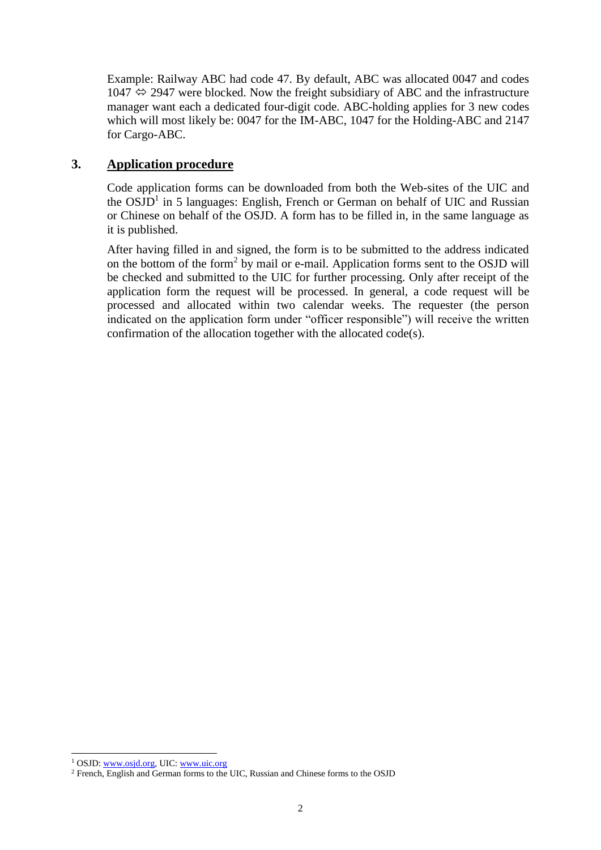Example: Railway ABC had code 47. By default, ABC was allocated 0047 and codes  $1047 \Leftrightarrow 2947$  were blocked. Now the freight subsidiary of ABC and the infrastructure manager want each a dedicated four-digit code. ABC-holding applies for 3 new codes which will most likely be: 0047 for the IM-ABC, 1047 for the Holding-ABC and 2147 for Cargo-ABC.

# **3. Application procedure**

Code application forms can be downloaded from both the Web-sites of the UIC and the  $OSJD<sup>1</sup>$  in 5 languages: English, French or German on behalf of UIC and Russian or Chinese on behalf of the OSJD. A form has to be filled in, in the same language as it is published.

After having filled in and signed, the form is to be submitted to the address indicated on the bottom of the form<sup>2</sup> by mail or e-mail. Application forms sent to the OSJD will be checked and submitted to the UIC for further processing. Only after receipt of the application form the request will be processed. In general, a code request will be processed and allocated within two calendar weeks. The requester (the person indicated on the application form under "officer responsible") will receive the written confirmation of the allocation together with the allocated code(s).

-

<sup>1</sup> OSJD[: www.osjd.org,](http://www.osjd.org/) UIC: [www.uic.org](http://www.uic.org/)

<sup>2</sup> French, English and German forms to the UIC, Russian and Chinese forms to the OSJD